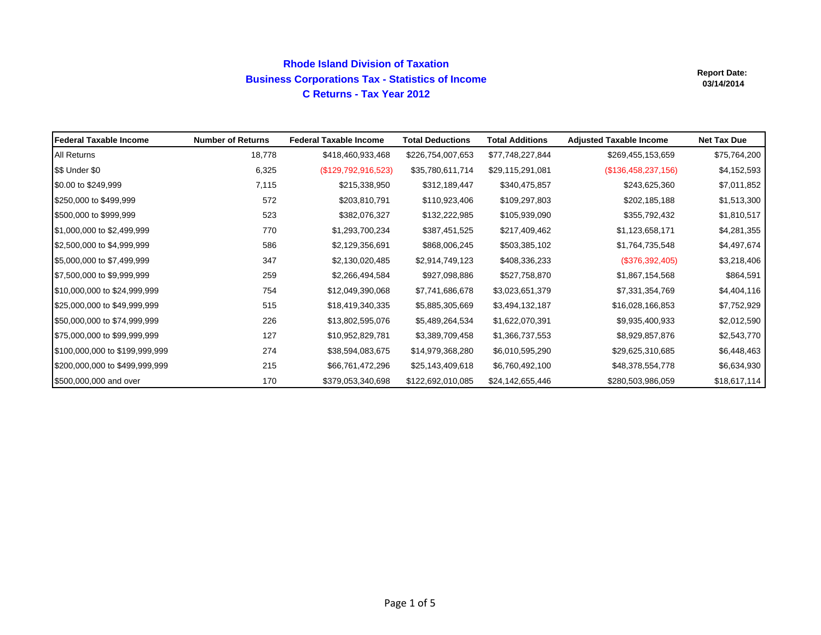# **Rhode Island Division of Taxation Business Corporations Tax - Statistics of Income C Returns - Tax Year 2012**

| <b>IFederal Taxable Income</b> | <b>Number of Returns</b> | <b>Federal Taxable Income</b> | <b>Total Deductions</b> | <b>Total Additions</b> | <b>Adjusted Taxable Income</b> | <b>Net Tax Due</b> |
|--------------------------------|--------------------------|-------------------------------|-------------------------|------------------------|--------------------------------|--------------------|
| All Returns                    | 18,778                   | \$418,460,933,468             | \$226,754,007,653       | \$77,748,227,844       | \$269,455,153,659              | \$75,764,200       |
| \$\$ Under \$0                 | 6,325                    | (\$129,792,916,523)           | \$35,780,611,714        | \$29,115,291,081       | (\$136,458,237,156)            | \$4,152,593        |
| \$0.00 to \$249,999            | 7,115                    | \$215,338,950                 | \$312,189,447           | \$340,475,857          | \$243,625,360                  | \$7,011,852        |
| \$250,000 to \$499,999         | 572                      | \$203,810,791                 | \$110,923,406           | \$109,297,803          | \$202,185,188                  | \$1,513,300        |
| \$500,000 to \$999,999         | 523                      | \$382,076,327                 | \$132,222,985           | \$105,939,090          | \$355,792,432                  | \$1,810,517        |
| \$1,000,000 to \$2,499,999     | 770                      | \$1,293,700,234               | \$387,451,525           | \$217,409,462          | \$1,123,658,171                | \$4,281,355        |
| \$2,500,000 to \$4,999,999     | 586                      | \$2,129,356,691               | \$868,006,245           | \$503,385,102          | \$1,764,735,548                | \$4,497,674        |
| \$5,000,000 to \$7,499,999     | 347                      | \$2,130,020,485               | \$2,914,749,123         | \$408,336,233          | (\$376,392,405)                | \$3,218,406        |
| \$7,500,000 to \$9,999,999     | 259                      | \$2,266,494,584               | \$927,098,886           | \$527,758,870          | \$1,867,154,568                | \$864,591          |
| \$10,000,000 to \$24,999,999   | 754                      | \$12,049,390,068              | \$7,741,686,678         | \$3,023,651,379        | \$7,331,354,769                | \$4,404,116        |
| \$25,000,000 to \$49,999,999   | 515                      | \$18,419,340,335              | \$5,885,305,669         | \$3,494,132,187        | \$16,028,166,853               | \$7,752,929        |
| \$50,000,000 to \$74,999,999   | 226                      | \$13,802,595,076              | \$5,489,264,534         | \$1,622,070,391        | \$9,935,400,933                | \$2,012,590        |
| \$75,000,000 to \$99,999,999   | 127                      | \$10,952,829,781              | \$3,389,709,458         | \$1,366,737,553        | \$8,929,857,876                | \$2,543,770        |
| \$100,000,000 to \$199,999,999 | 274                      | \$38,594,083,675              | \$14,979,368,280        | \$6,010,595,290        | \$29,625,310,685               | \$6,448,463        |
| \$200,000,000 to \$499,999,999 | 215                      | \$66,761,472,296              | \$25,143,409,618        | \$6,760,492,100        | \$48,378,554,778               | \$6,634,930        |
| \$500,000,000 and over         | 170                      | \$379,053,340,698             | \$122,692,010,085       | \$24,142,655,446       | \$280,503,986,059              | \$18,617,114       |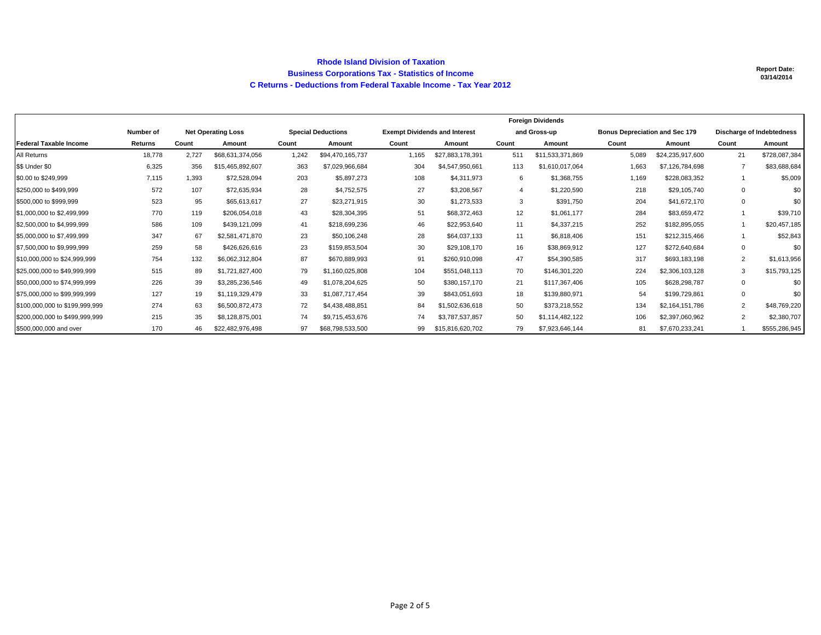#### **Rhode Island Division of Taxation Business Corporations Tax - Statistics of Income C Returns - Deductions from Federal Taxable Income - Tax Year 2012**

|                                |           |       |                           | <b>Foreign Dividends</b>  |                  |                                      |                  |              |                  |                                       |                  |                           |               |
|--------------------------------|-----------|-------|---------------------------|---------------------------|------------------|--------------------------------------|------------------|--------------|------------------|---------------------------------------|------------------|---------------------------|---------------|
|                                | Number of |       | <b>Net Operating Loss</b> | <b>Special Deductions</b> |                  | <b>Exempt Dividends and Interest</b> |                  | and Gross-up |                  | <b>Bonus Depreciation and Sec 179</b> |                  | Discharge of Indebtedness |               |
| <b>Federal Taxable Income</b>  | Returns   | Count | Amount                    | Count                     | Amount           | Count                                | Amount           | Count        | Amount           | Count                                 | Amount           | Count                     | Amount        |
| All Returns                    | 18,778    | 2.727 | \$68,631,374,056          | 1,242                     | \$94,470,165,737 | 1,165                                | \$27,883,178,391 | 511          | \$11,533,371,869 | 5.089                                 | \$24,235,917,600 | 21                        | \$728,087,384 |
| \$\$ Under \$0                 | 6,325     | 356   | \$15,465,892,607          | 363                       | \$7,029,966,684  | 304                                  | \$4,547,950,661  | 113          | \$1,610,017,064  | 1,663                                 | \$7,126,784,698  |                           | \$83,688,684  |
| \$0.00 to \$249,999            | 7,115     | 1,393 | \$72,528,094              | 203                       | \$5,897,273      | 108                                  | \$4,311,973      | 6            | \$1,368,755      | 1,169                                 | \$228,083,352    |                           | \$5,009       |
| \$250,000 to \$499,999         | 572       | 107   | \$72,635,934              | 28                        | \$4,752,575      | 27                                   | \$3,208,567      | 4            | \$1,220,590      | 218                                   | \$29,105,740     | $\Omega$                  | \$0           |
| \$500,000 to \$999,999         | 523       | 95    | \$65,613,617              | 27                        | \$23,271,915     | 30                                   | \$1,273,533      | 3            | \$391,750        | 204                                   | \$41,672,170     |                           | \$0           |
| \$1,000,000 to \$2,499,999     | 770       | 119   | \$206,054,018             | 43                        | \$28,304,395     | 51                                   | \$68,372,463     | 12           | \$1,061,177      | 284                                   | \$83,659,472     |                           | \$39,710      |
| \$2,500,000 to \$4,999,999     | 586       | 109   | \$439,121,099             | 41                        | \$218,699,236    | 46                                   | \$22,953,640     | 11           | \$4,337,215      | 252                                   | \$182,895,055    |                           | \$20,457,185  |
| \$5,000,000 to \$7,499,999     | 347       | 67    | \$2,581,471,870           | 23                        | \$50,106,248     | 28                                   | \$64,037,133     | 11           | \$6,818,406      | 151                                   | \$212,315,466    |                           | \$52,843      |
| \$7,500,000 to \$9,999,999     | 259       | 58    | \$426,626,616             | 23                        | \$159,853,504    | 30                                   | \$29,108,170     | 16           | \$38,869,912     | 127                                   | \$272,640,684    | $\Omega$                  | \$0           |
| \$10,000,000 to \$24,999,999   | 754       | 132   | \$6.062.312.804           | 87                        | \$670,889,993    | 91                                   | \$260,910,098    | 47           | \$54,390,585     | 317                                   | \$693,183,198    | 2                         | \$1,613,956   |
| \$25,000,000 to \$49,999,999   | 515       | 89    | \$1,721,827,400           | 79                        | \$1.160.025.808  | 104                                  | \$551.048.113    | 70           | \$146,301,220    | 224                                   | \$2,306,103,128  | $\mathcal{R}$             | \$15,793,125  |
| \$50,000,000 to \$74,999,999   | 226       | 39    | \$3,285,236,546           | 49                        | \$1.078.204.625  | 50                                   | \$380,157,170    | 21           | \$117,367,406    | 105                                   | \$628,298,787    | 0                         | \$0           |
| \$75,000,000 to \$99,999,999   | 127       | 19    | \$1,119,329,479           | 33                        | \$1.087.717.454  | 39                                   | \$843,051,693    | 18           | \$139,880,971    | 54                                    | \$199,729,861    | $\Omega$                  | \$0           |
| \$100,000,000 to \$199,999,999 | 274       | 63    | \$6,500,872,473           | 72                        | \$4,438,488,851  | 84                                   | \$1,502,636,618  | 50           | \$373,218,552    | 134                                   | \$2,164,151,786  | $\overline{2}$            | \$48,769,220  |
| \$200,000,000 to \$499,999,999 | 215       | 35    | \$8,128,875,001           | 74                        | \$9,715,453,676  | 74                                   | \$3,787,537,857  | 50           | \$1,114,482,122  | 106                                   | \$2,397,060,962  | $\overline{2}$            | \$2,380,707   |
| \$500,000,000 and over         | 170       | 46    | \$22,482,976,498          | 97                        | \$68,798,533,500 | 99                                   | \$15,816,620,702 | 79           | \$7,923,646,144  | 81                                    | \$7,670,233,241  |                           | \$555,286,945 |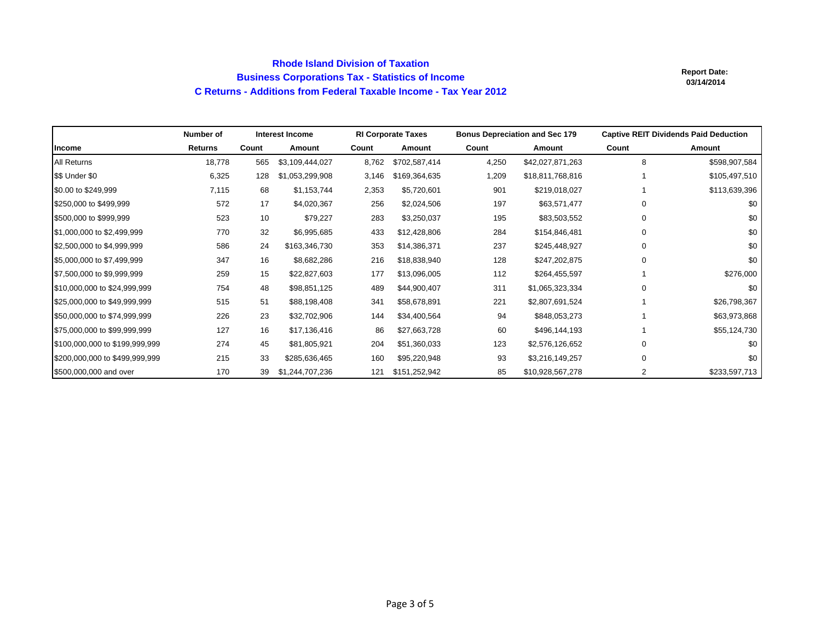### **Rhode Island Division of Taxation Business Corporations Tax - Statistics of Income C Returns - Additions from Federal Taxable Income - Tax Year 2012**

|                                | Number of      |       | <b>Interest Income</b> |       | <b>RI Corporate Taxes</b> | <b>Bonus Depreciation and Sec 179</b> |                  | <b>Captive REIT Dividends Paid Deduction</b> |               |
|--------------------------------|----------------|-------|------------------------|-------|---------------------------|---------------------------------------|------------------|----------------------------------------------|---------------|
| Income                         | <b>Returns</b> | Count | Amount                 | Count | Amount                    | Count                                 | Amount           | Count                                        | Amount        |
| All Returns                    | 18,778         | 565   | \$3,109,444,027        | 8,762 | \$702,587,414             | 4,250                                 | \$42,027,871,263 | 8                                            | \$598,907,584 |
| \$\$ Under \$0                 | 6,325          | 128   | \$1,053,299,908        | 3,146 | \$169,364,635             | 1,209                                 | \$18,811,768,816 |                                              | \$105,497,510 |
| \$0.00 to \$249,999            | 7,115          | 68    | \$1,153,744            | 2,353 | \$5,720,601               | 901                                   | \$219,018,027    |                                              | \$113,639,396 |
| \$250,000 to \$499,999         | 572            | 17    | \$4,020,367            | 256   | \$2,024,506               | 197                                   | \$63,571,477     | 0                                            | \$0           |
| \$500,000 to \$999,999         | 523            | 10    | \$79,227               | 283   | \$3,250,037               | 195                                   | \$83,503,552     | 0                                            | \$0           |
| \$1,000,000 to \$2,499,999     | 770            | 32    | \$6,995,685            | 433   | \$12,428,806              | 284                                   | \$154,846,481    | $\Omega$                                     | \$0           |
| \$2,500,000 to \$4,999,999     | 586            | 24    | \$163,346,730          | 353   | \$14,386,371              | 237                                   | \$245,448,927    | 0                                            | \$0           |
| \$5,000,000 to \$7,499,999     | 347            | 16    | \$8,682,286            | 216   | \$18,838,940              | 128                                   | \$247,202,875    | $\Omega$                                     | \$0           |
| \$7,500,000 to \$9,999,999     | 259            | 15    | \$22,827,603           | 177   | \$13,096,005              | 112                                   | \$264,455,597    |                                              | \$276,000     |
| \$10,000,000 to \$24,999,999   | 754            | 48    | \$98,851,125           | 489   | \$44,900,407              | 311                                   | \$1,065,323,334  | 0                                            | \$0           |
| \$25,000,000 to \$49,999,999   | 515            | 51    | \$88,198,408           | 341   | \$58,678,891              | 221                                   | \$2,807,691,524  |                                              | \$26,798,367  |
| \$50,000,000 to \$74,999,999   | 226            | 23    | \$32,702,906           | 144   | \$34,400,564              | 94                                    | \$848,053,273    |                                              | \$63,973,868  |
| \$75,000,000 to \$99,999,999   | 127            | 16    | \$17,136,416           | 86    | \$27,663,728              | 60                                    | \$496,144,193    |                                              | \$55,124,730  |
| \$100,000,000 to \$199,999,999 | 274            | 45    | \$81,805,921           | 204   | \$51,360,033              | 123                                   | \$2,576,126,652  | $\Omega$                                     | \$0           |
| \$200,000,000 to \$499,999,999 | 215            | 33    | \$285,636,465          | 160   | \$95,220,948              | 93                                    | \$3,216,149,257  | $\Omega$                                     | \$0           |
| \$500,000,000 and over         | 170            | 39    | \$1,244,707,236        | 121   | \$151,252,942             | 85                                    | \$10,928,567,278 | 2                                            | \$233,597,713 |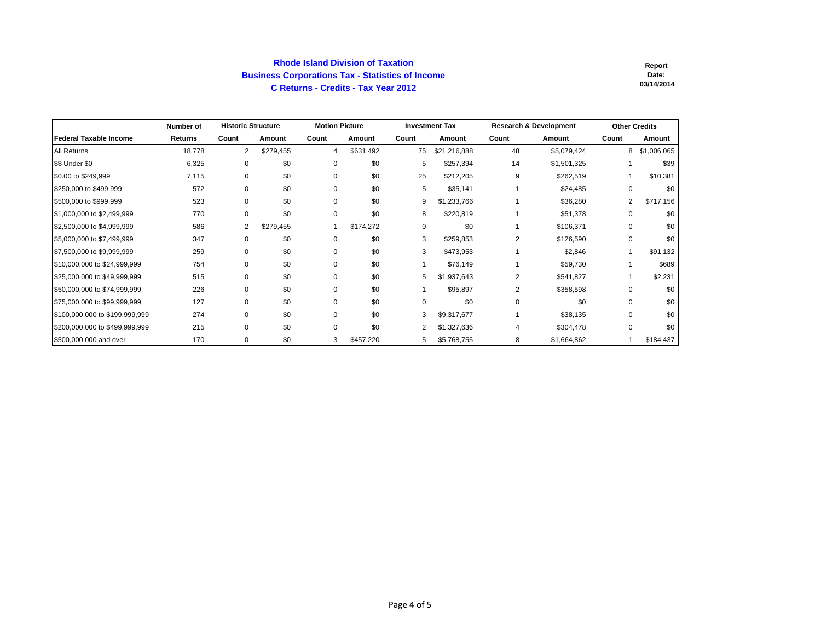#### **Rhode Island Division of Taxation Business Corporations Tax - Statistics of Income C Returns - Credits - Tax Year 2012**

|                                | Number of      | <b>Historic Structure</b> |           | <b>Motion Picture</b> |           |             | <b>Investment Tax</b> |                | <b>Research &amp; Development</b> | <b>Other Credits</b> |             |
|--------------------------------|----------------|---------------------------|-----------|-----------------------|-----------|-------------|-----------------------|----------------|-----------------------------------|----------------------|-------------|
| Federal Taxable Income         | <b>Returns</b> | Count                     | Amount    | Count                 | Amount    | Count       | Amount                | Count          | Amount                            | Count                | Amount      |
| All Returns                    | 18,778         | $\overline{2}$            | \$279,455 | 4                     | \$631,492 | 75          | \$21,216,888          | 48             | \$5,079,424                       | 8                    | \$1,006,065 |
| \$\$ Under \$0                 | 6,325          | 0                         | \$0       | 0                     | \$0       | 5           | \$257,394             | 14             | \$1,501,325                       |                      | \$39        |
| \$0.00 to \$249,999            | 7,115          | $\mathbf 0$               | \$0       | 0                     | \$0       | 25          | \$212,205             | 9              | \$262,519                         |                      | \$10,381    |
| \$250,000 to \$499,999         | 572            | $\mathbf 0$               | \$0       | $\Omega$              | \$0       | 5           | \$35,141              |                | \$24,485                          | $\Omega$             | \$0         |
| \$500,000 to \$999,999         | 523            | 0                         | \$0       | 0                     | \$0       | 9           | \$1,233,766           |                | \$36,280                          | $\overline{2}$       | \$717,156   |
| \$1,000,000 to \$2,499,999     | 770            | $\mathbf 0$               | \$0       | 0                     | \$0       | 8           | \$220,819             |                | \$51,378                          | $\Omega$             | \$0         |
| \$2,500,000 to \$4,999,999     | 586            | $\overline{2}$            | \$279,455 |                       | \$174,272 | 0           | \$0                   |                | \$106,371                         | 0                    | \$0         |
| \$5,000,000 to \$7,499,999     | 347            | 0                         | \$0       | 0                     | \$0       | 3           | \$259,853             | $\overline{2}$ | \$126,590                         | 0                    | \$0         |
| \$7,500,000 to \$9,999,999     | 259            | $\mathbf 0$               | \$0       | $\Omega$              | \$0       | 3           | \$473,953             |                | \$2,846                           |                      | \$91,132    |
| \$10,000,000 to \$24,999,999   | 754            | 0                         | \$0       | 0                     | \$0       |             | \$76,149              |                | \$59,730                          |                      | \$689       |
| \$25,000,000 to \$49,999,999   | 515            | 0                         | \$0       | 0                     | \$0       | 5           | \$1,937,643           | 2              | \$541,827                         |                      | \$2,231     |
| \$50,000,000 to \$74,999,999   | 226            | 0                         | \$0       | 0                     | \$0       |             | \$95,897              | $\overline{2}$ | \$358,598                         | 0                    | \$0         |
| \$75,000,000 to \$99,999,999   | 127            | $\Omega$                  | \$0       | $\Omega$              | \$0       | $\mathbf 0$ | \$0                   | $\Omega$       | \$0                               | $\Omega$             | \$0         |
| \$100,000,000 to \$199,999,999 | 274            | 0                         | \$0       | $\Omega$              | \$0       | 3           | \$9,317,677           |                | \$38,135                          | 0                    | \$0         |
| \$200,000,000 to \$499,999,999 | 215            | 0                         | \$0       | $\Omega$              | \$0       | 2           | \$1,327,636           | 4              | \$304,478                         | $\Omega$             | \$0         |
| \$500,000,000 and over         | 170            | 0                         | \$0       | 3                     | \$457,220 | 5           | \$5,768,755           | 8              | \$1,664,862                       |                      | \$184,437   |